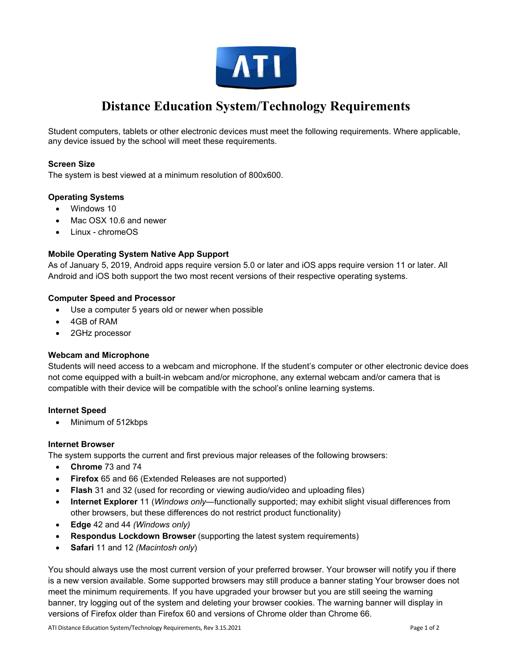

# **Distance Education System/Technology Requirements**

Student computers, tablets or other electronic devices must meet the following requirements. Where applicable, any device issued by the school will meet these requirements.

# **Screen Size**

The system is best viewed at a minimum resolution of 800x600.

## **Operating Systems**

- Windows 10
- Mac OSX 10.6 and newer
- Linux chromeOS

## **Mobile Operating System Native App Support**

As of January 5, 2019, Android apps require version 5.0 or later and iOS apps require version 11 or later. All Android and iOS both support the two most recent versions of their respective operating systems.

## **Computer Speed and Processor**

- Use a computer 5 years old or newer when possible
- 4GB of RAM
- 2GHz processor

## **Webcam and Microphone**

Students will need access to a webcam and microphone. If the student's computer or other electronic device does not come equipped with a built-in webcam and/or microphone, any external webcam and/or camera that is compatible with their device will be compatible with the school's online learning systems.

## **Internet Speed**

• Minimum of 512kbps

## **Internet Browser**

The system supports the current and first previous major releases of the following browsers:

- **Chrome** 73 and 74
- **Firefox** 65 and 66 (Extended Releases are not supported)
- **Flash** 31 and 32 (used for recording or viewing audio/video and uploading files)
- **Internet Explorer** 11 (*Windows only—*functionally supported; may exhibit slight visual differences from other browsers, but these differences do not restrict product functionality)
- **Edge** 42 and 44 *(Windows only)*
- **Respondus Lockdown Browser** (supporting the latest system requirements)
- **Safari** 11 and 12 *(Macintosh only*)

You should always use the most current version of your preferred browser. Your browser will notify you if there is a new version available. Some supported browsers may still produce a banner stating Your browser does not meet the minimum requirements. If you have upgraded your browser but you are still seeing the warning banner, try logging out of the system and deleting your browser cookies. The warning banner will display in versions of Firefox older than Firefox 60 and versions of Chrome older than Chrome 66.